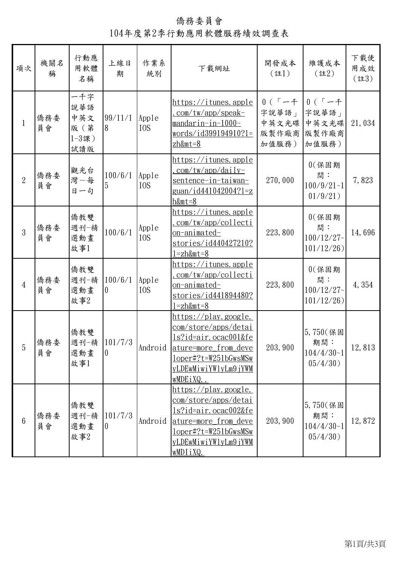## 僑務委員會 104年度第2季行動應用軟體服務績效調查表

| 項次             | 機關名<br>稱  | 行動應<br>用軟體<br>名稱                             | 上線日<br>期            | 作業系<br>統別                 | 下載網址                                                                                                                                                                             | 開發成本<br>(註1)                                   | 維護成本<br>$($ 註2)                                   | 下載使<br>用成效<br>(註3) |
|----------------|-----------|----------------------------------------------|---------------------|---------------------------|----------------------------------------------------------------------------------------------------------------------------------------------------------------------------------|------------------------------------------------|---------------------------------------------------|--------------------|
| $\mathbf{1}$   | 僑務委<br>員會 | 一千字<br>說華語<br>中英文<br>版 (第<br>$1-3$ 課)<br>試讀版 | 99/11/1<br>8        | Apple<br>I <sub>0</sub> S | <u>https://itunes.apple</u><br>$com/tw/app/speak-$<br>mandarin-in-1000-<br>$words/id399194910?1=$<br>$zh$ &mt=8                                                                  | $0(7 - 4)$<br>字說華語」<br>中英文光碟<br>版製作廠商<br>加值服務) | $0(7 - 7)$<br>字說華語」<br>中英文光碟<br>版製作廠商<br>加值服務)    | 21,034             |
| $\overline{2}$ | 僑務委<br>員會 | 觀光台<br>灣一每<br>日一句                            | 100/6/1<br>5        | Apple<br>I <sub>0</sub> S | <u> https://itunes.apple</u><br>$com/tw/app/daily-$<br><u>sentence-in-taiwan-</u><br><u>guan/id441042004?l=z</u><br>$h$ &mt=8                                                    | 270,000                                        | $0$ $($ 保固期<br>間:<br>$100/9/21 - 1$<br>01/9/21)   | 7,823              |
| $\overline{3}$ | 僑務委<br>員會 | 僑教雙<br>週刊一精<br>選動畫<br>故事1                    | 100/6/1             | Apple<br>I <sub>0</sub> S | https://itunes.apple<br><u>com/tw/app/collecti</u><br><u>on-animated-</u><br>stories/id440427210?<br>l=zh&mt=8                                                                   | 223,800                                        | $0$ $($ 保 固 期<br>間:<br>$100/12/27$ ~<br>101/12/26 | 14,696             |
| $\overline{4}$ | 僑務委<br>員會 | 僑教雙<br>週刊一精<br>選動畫<br>故事2                    | 100/6/1<br>0        | Apple<br>I <sub>0</sub> S | https://itunes.apple<br><u>com/tw/app/collecti</u><br><u>on-animated-</u><br>stories/id441894480?<br><u> =zh&amp;mt=8</u>                                                        | 223,800                                        | $0$ $($ 保固期<br>間:<br>$100/12/27$ ~<br>101/12/26   | 4,354              |
| $\overline{5}$ | 僑務委<br>員會 | 僑教雙<br>週刊-精 101/7/3<br>選動畫<br>故事1            | $\boldsymbol{0}$    | Android                   | <u>https://play.google.</u><br><u>com/store/apps/detai</u><br><u>ls?id=air.ocac001&amp;fe</u><br>ature=more from deve<br>loper#?t=W251bGwsMSw<br>yLDEwMiwiYWlyLm9jYWM<br>wMDEiXQ | 203, 900                                       | $5,750$ (保固<br>期間:<br>$104/4/30-1$<br>05/4/30)    | 12,813             |
| $6\phantom{1}$ | 僑務委<br>員會 | 僑教雙<br>週刊一精<br>選動畫<br>故事2                    | 101/7/3<br>$\theta$ | Android                   | https://play.google.<br>com/store/apps/detai<br>ls?id=air.ocac002&fe<br>ature=more_from_deve<br>$loper\#?t = W251bGwsMSw$<br>yLDEwMiwiYWlyLm9jYWM<br>wMDIiXQ.                    | 203, 900                                       | 5,750(保固<br>期間:<br>$104/4/30 - 1$<br>05/4/30)     | 12,872             |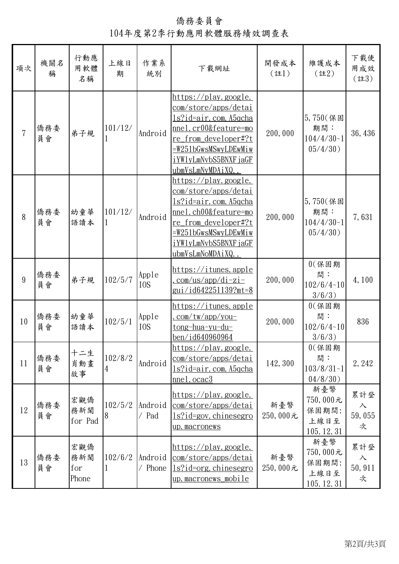僑務委員會 104年度第2季行動應用軟體服務績效調查表

| 項次             | 機關名<br>稱  | 行動應<br>用軟體<br>名稱           | 上線日<br>期     | 作業系<br>統別                 | 下載網址                                                                                                                                                                                                                  | 開發成本<br>(註1)    | 維護成本<br>$($ 註2)                                 | 下載使<br>用成效<br>$($ 註3)            |
|----------------|-----------|----------------------------|--------------|---------------------------|-----------------------------------------------------------------------------------------------------------------------------------------------------------------------------------------------------------------------|-----------------|-------------------------------------------------|----------------------------------|
| $\overline{7}$ | 僑務委<br>員會 | 弟子規                        | 101/12/      | Android                   | <u> https://play.google.</u><br><u>com/store/apps/detai</u><br><u>ls?id=air.com.A5qcha</u><br>nnel.cr00&feature=mo<br>re_from_developer#?t<br><u>=W251bGwsMSwyLDEwMiw</u><br>iYWlyLmNvbS5BNXFjaGF<br>ubmVsLmNyMDAiXQ. | 200,000         | $5,750$ (保固<br>期間:<br>$104/4/30-1$<br>05/4/30)  | 36, 436                          |
| 8              | 僑務委<br>員會 | 幼童華<br>語讀本                 | 101/12/      | Android                   | https://play.google.<br>com/store/apps/detai<br><u>ls?id=air.com.A5qcha</u><br>nnel.ch00&feature=mo<br><u>re from developer#?t</u><br><u>=W251bGwsMSwyLDEwMiw</u><br>iYW1yLmNvbS5BNXFjaGF<br>ubmVsLmNoMDAiXQ          | 200,000         | 5,750(保固<br>期間:<br>$104/4/30-1$<br>05/4/30)     | 7,631                            |
| 9              | 僑務委<br>員會 | 弟子規                        | 102/5/7      | Apple<br>I <sub>0</sub> S | https://itunes.apple<br>$com-us/app/di-zi-$<br><u>gui/id642251139?mt=8</u>                                                                                                                                            | 200,000         | $0$ $($ 保 固 期<br>間:<br>$102/6/4 - 10$<br>3/6/3) | 4,100                            |
| 10             | 僑務委<br>員會 | 幼童華<br>語讀本                 | 102/5/1      | Apple<br>I <sub>0</sub> S | <u>https://itunes.apple</u><br>$\frac{\text{com/tw/app/you-}}{}$<br><u>tong-hua-yu-du-</u><br>ben/id640960964                                                                                                         | 200,000         | $0$ $($ 保 固 期<br>間:<br>102/6/4~10<br>3/6/3)     | 836                              |
| 11             | 僑務委<br>員會 | 十二生<br>肖動畫<br>故事           | 102/8/2<br>4 | Android                   | https://play.google.<br>com/store/apps/detai<br><u>ls?id=air.com.A5qcha</u><br>mel. ocac3                                                                                                                             | 142, 300        | $0$ $($ 保固期<br>間:<br>$103/8/31 - 1$<br>04/8/30  | 2, 242                           |
| 12             | 僑務委<br>員會 | 宏觀僑<br>務新聞<br>for Pad      | 102/5/2<br>8 | Android<br>/ Pad          | https://play.google.<br>com/store/apps/detai<br>$ls?id=gov. chinesegro$<br>up. macronews                                                                                                                              | 新臺幣<br>250,000元 | 新臺幣<br>750,000元<br>保固期間:<br>上線日至<br>105.12.31   | 累計登<br>入<br>59,055<br>次          |
| 13             | 僑務委<br>員會 | 宏觀僑<br>務新聞<br>for<br>Phone | 102/6/2      | Android<br>/ Phone        | https://play.google.<br>com/store/apps/detai<br>$ls?id=org. chinesegro$<br><u>up.macronews mobile</u>                                                                                                                 | 新臺幣<br>250,000元 | 新臺幣<br>750,000元<br>保固期間:<br>上線日至<br>105.12.31   | 累計登<br>$\lambda$<br>50, 911<br>次 |